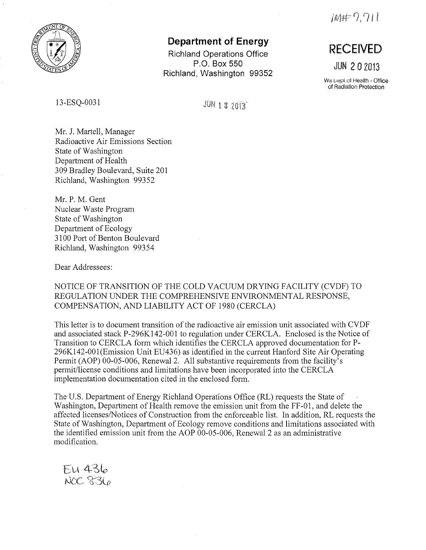

## **Department of Energy**

**Richland Operations Office P.O. Box 550 Richland, Washington 99352** 

13-ESQ-0031

 $JUN$  1 3 2013

 $IMF 2.711$ 

## **RECEIVED**

**JUN 2 0** 2013

Wa **Uept of Health - Office** of Radiation Protection

Mr. J. Martell, Manager Radioactive Air Emissions Section State of Washington Department of Health 309 Bradley Boulevard, Suite 201 Richland, Washington 99352

**Mr. P.** M. Gent Nuclear Waste Program State of Washington Department of Ecology 3100 Port of Benton Boulevard Richland, Washington 99354

Dear Addressees:

NOTICE OF TRANSITION OF THE COLD VACUUM DRYING FACILITY (CVDF) TO REGULATION UNDER THE COMPREHENSIVE ENVIRONMENTAL RESPONSE, COMPENSATION, AND LIABILITY ACT OF 1980 (CERCLA)

This letter is to document transition of the radioactive air emission unit associated with CVDF and associated stack P-296K142-001 to regulation under CERCLA. Enclosed is the Notice of Transition to CERCLA form which identifies the CERCLA approved documentation for **P-**296Kl42-001 (Emission Unit EU436) as identified in the current Hanford Site Air Operating Permit (AOP) 00-05-006, Renewal 2. All substantive requirements from the facility's permit/license conditions and limitations have been incorporated into the CERCLA implementation documentation cited in the enclosed form.

The U.S. Department of Energy Richland Operations Office (RL) requests the State of Washington, Department of Health remove the emission unit from the FF-01, and delete the affected licenses/Notices of Construction from the enforceable list. In addition, RL requests the State of Washington, Department of Ecology remove conditions and limitations associated with the identified emission unit from the AOP 00-05-006, Renewal 2 as an administrative modification.

EU 436<br>NOC 836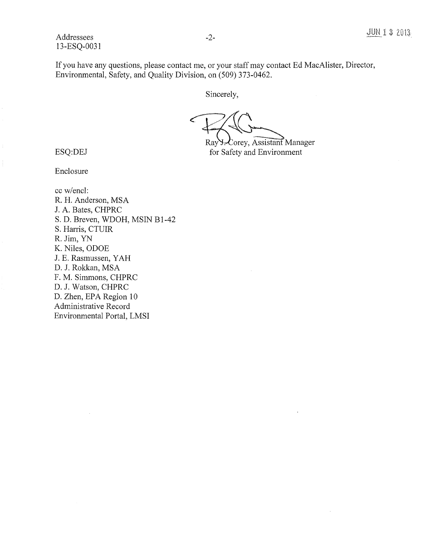If you have any questions, please contact me, or your staff may contact Ed MacAlister, Director, Environmental, Safety, and Quality Division, on (509) 373-0462.

Sincerely,

 $P_{\text{max}}$ 

Ray Y. Corey, Assistant Manager for Safety and Environment

ESQ:DEJ

Enclosure

cc w/encl: R. H. Anderson, MSA J. A. Bates, CHPRC S. D. Breven, WDOH, MSIN B1-42 S. Harris, CTUIR R. Jim, YN K. Niles, ODOE J. E. Rasmussen, Y AH D. J. Rokkan, MSA F. M. Simmons, CHPRC D. J. Watson, CHPRC D. Zhen, EPA Region 10 Administrative Record Environmental Portal, LMSI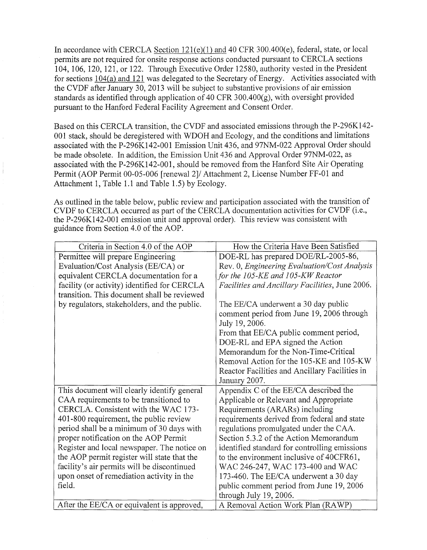In accordance with CERCLA Section 121(e)(1) and 40 CFR 300.400(e), federal, state, or local permits are not required for onsite response actions conducted pursuant to CERCLA sections 104, 106, 120, 121, or 122. Through Executive Order 12580, authority vested in the President for sections 104(a) and 121 was delegated to the Secretary of Energy. Activities associated with the CVDF after January 30, 2013 will be subject to substantive provisions of air emission standards as identified through application of 40 CFR 300.400 $(g)$ , with oversight provided pursuant to the Hanford Federal Facility Agreement and Consent Order.

Based on this CERCLA transition, the CVDF and associated emissions through the P-296K142- 001 stack, should be deregistered with WDOH and Ecology, and the conditions and limitations associated with the P-296K142-001 Emission Unit 436, and 97NM-022 Approval Order should be made obsolete. In addition, the Emission Unit 436 and Approval Order 97NM-022, as associated with the P-296Kl 42-001, should be removed from the Hanford Site Air Operating Permit (AOP Permit 00-05-006 [renewal 2]/ Attachment 2, License Number FF-01 and Attachment 1, Table 1.1 and Table 1.5) by Ecology.

As outlined in the table below, public review and participation associated with the transition of CVDF to CERCLA occurred as part of the CERCLA documentation activities for CVDF (i.e., the P-296Kl42-001 emission unit and approval order). This review was consistent with guidance from Section 4.0 of the AOP.

| Criteria in Section 4.0 of the AOP           | How the Criteria Have Been Satisfied                   |
|----------------------------------------------|--------------------------------------------------------|
| Permittee will prepare Engineering           | DOE-RL has prepared DOE/RL-2005-86,                    |
| Evaluation/Cost Analysis (EE/CA) or          | Rev. 0, Engineering Evaluation/Cost Analysis           |
| equivalent CERCLA documentation for a        | for the 105-KE and 105-KW Reactor                      |
| facility (or activity) identified for CERCLA | <i>Facilities and Ancillary Facilities, June 2006.</i> |
| transition. This document shall be reviewed  |                                                        |
| by regulators, stakeholders, and the public. | The EE/CA underwent a 30 day public                    |
|                                              | comment period from June 19, 2006 through              |
|                                              | July 19, 2006.                                         |
|                                              | From that EE/CA public comment period,                 |
|                                              | DOE-RL and EPA signed the Action                       |
|                                              | Memorandum for the Non-Time-Critical                   |
|                                              | Removal Action for the 105-KE and 105-KW               |
|                                              | Reactor Facilities and Ancillary Facilities in         |
|                                              | January 2007.                                          |
| This document will clearly identify general  | Appendix C of the EE/CA described the                  |
| CAA requirements to be transitioned to       | Applicable or Relevant and Appropriate                 |
| CERCLA. Consistent with the WAC 173-         | Requirements (ARARs) including                         |
| 401-800 requirement, the public review       | requirements derived from federal and state            |
| period shall be a minimum of 30 days with    | regulations promulgated under the CAA.                 |
| proper notification on the AOP Permit        | Section 5.3.2 of the Action Memorandum                 |
| Register and local newspaper. The notice on  | identified standard for controlling emissions          |
| the AOP permit register will state that the  | to the environment inclusive of 40CFR61,               |
| facility's air permits will be discontinued  | WAC 246-247, WAC 173-400 and WAC                       |
| upon onset of remediation activity in the    | 173-460. The EE/CA underwent a 30 day                  |
| field.                                       | public comment period from June 19, 2006               |
|                                              | through July 19, 2006.                                 |
| After the EE/CA or equivalent is approved,   | A Removal Action Work Plan (RAWP)                      |